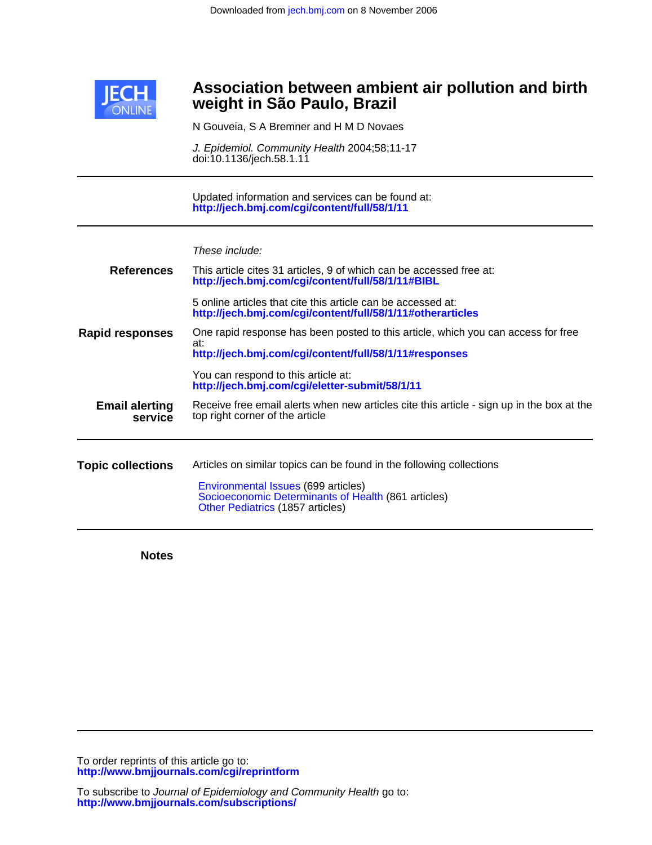

## **weight in São Paulo, Brazil Association between ambient air pollution and birth**

N Gouveia, S A Bremner and H M D Novaes

doi:10.1136/jech.58.1.11 J. Epidemiol. Community Health 2004;58;11-17

**<http://jech.bmj.com/cgi/content/full/58/1/11>** Updated information and services can be found at:

These include:

| <b>References</b>                | This article cites 31 articles, 9 of which can be accessed free at:<br>http://jech.bmj.com/cgi/content/full/58/1/11#BIBL       |
|----------------------------------|--------------------------------------------------------------------------------------------------------------------------------|
|                                  | 5 online articles that cite this article can be accessed at:<br>http://jech.bmj.com/cgi/content/full/58/1/11#otherarticles     |
| Rapid responses                  | One rapid response has been posted to this article, which you can access for free<br>at:                                       |
|                                  | http://jech.bmj.com/cgi/content/full/58/1/11#responses                                                                         |
|                                  | You can respond to this article at:<br>http://jech.bmj.com/cgi/eletter-submit/58/1/11                                          |
| <b>Email alerting</b><br>service | Receive free email alerts when new articles cite this article - sign up in the box at the<br>top right corner of the article   |
|                                  |                                                                                                                                |
| <b>Topic collections</b>         | Articles on similar topics can be found in the following collections                                                           |
|                                  | Environmental Issues (699 articles)<br>Socioeconomic Determinants of Health (861 articles)<br>Other Pediatrics (1857 articles) |

**Notes**

**<http://www.bmjjournals.com/cgi/reprintform>** To order reprints of this article go to: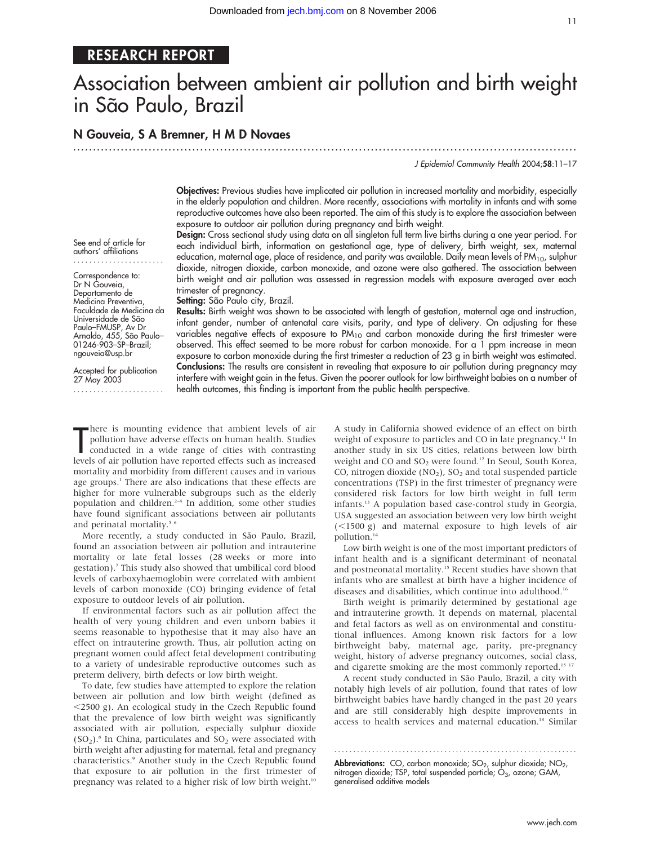## RESEARCH REPORT

# Association between ambient air pollution and birth weight in São Paulo, Brazil

.............................................................................................................................. .

N Gouveia, S A Bremner, H M D Novaes

J Epidemiol Community Health 2004;58:11–17

Objectives: Previous studies have implicated air pollution in increased mortality and morbidity, especially in the elderly population and children. More recently, associations with mortality in infants and with some reproductive outcomes have also been reported. The aim of this study is to explore the association between exposure to outdoor air pollution during pregnancy and birth weight.

Design: Cross sectional study using data on all singleton full term live births during a one year period. For each individual birth, information on gestational age, type of delivery, birth weight, sex, maternal education, maternal age, place of residence, and parity was available. Daily mean levels of PM<sub>10</sub>, sulphur dioxide, nitrogen dioxide, carbon monoxide, and ozone were also gathered. The association between birth weight and air pollution was assessed in regression models with exposure averaged over each trimester of pregnancy.

Setting: São Paulo city, Brazil.

Results: Birth weight was shown to be associated with length of gestation, maternal age and instruction, infant gender, number of antenatal care visits, parity, and type of delivery. On adjusting for these variables negative effects of exposure to PM<sub>10</sub> and carbon monoxide during the first trimester were observed. This effect seemed to be more robust for carbon monoxide. For a 1 ppm increase in mean exposure to carbon monoxide during the first trimester a reduction of 23 g in birth weight was estimated. Conclusions: The results are consistent in revealing that exposure to air pollution during pregnancy may interfere with weight gain in the fetus. Given the poorer outlook for low birthweight babies on a number of health outcomes, this finding is important from the public health perspective.

There is mounting evidence that ambient levels of air pollution have adverse effects on human health. Studies conducted in a wide range of cities with contrasting levels of air pollution have reported effects such as incre here is mounting evidence that ambient levels of air pollution have adverse effects on human health. Studies conducted in a wide range of cities with contrasting mortality and morbidity from different causes and in various age groups.<sup>1</sup> There are also indications that these effects are higher for more vulnerable subgroups such as the elderly population and children. $2-4$  In addition, some other studies have found significant associations between air pollutants

and perinatal mortality.<sup>5</sup> More recently, a study conducted in São Paulo, Brazil, found an association between air pollution and intrauterine mortality or late fetal losses (28 weeks or more into gestation).7 This study also showed that umbilical cord blood levels of carboxyhaemoglobin were correlated with ambient levels of carbon monoxide (CO) bringing evidence of fetal exposure to outdoor levels of air pollution.

If environmental factors such as air pollution affect the health of very young children and even unborn babies it seems reasonable to hypothesise that it may also have an effect on intrauterine growth. Thus, air pollution acting on pregnant women could affect fetal development contributing to a variety of undesirable reproductive outcomes such as preterm delivery, birth defects or low birth weight.

To date, few studies have attempted to explore the relation between air pollution and low birth weight (defined as  $\langle 2500 \text{ g} \rangle$ . An ecological study in the Czech Republic found that the prevalence of low birth weight was significantly associated with air pollution, especially sulphur dioxide  $(SO<sub>2</sub>)$ .<sup>8</sup> In China, particulates and  $SO<sub>2</sub>$  were associated with birth weight after adjusting for maternal, fetal and pregnancy characteristics.9 Another study in the Czech Republic found that exposure to air pollution in the first trimester of pregnancy was related to a higher risk of low birth weight.<sup>10</sup> A study in California showed evidence of an effect on birth weight of exposure to particles and CO in late pregnancy.<sup>11</sup> In another study in six US cities, relations between low birth weight and CO and SO<sub>2</sub> were found.<sup>12</sup> In Seoul, South Korea, CO, nitrogen dioxide ( $NO<sub>2</sub>$ ),  $SO<sub>2</sub>$  and total suspended particle concentrations (TSP) in the first trimester of pregnancy were considered risk factors for low birth weight in full term infants.13 A population based case-control study in Georgia, USA suggested an association between very low birth weight  $(<1500 g$ ) and maternal exposure to high levels of air pollution.<sup>14</sup>

Low birth weight is one of the most important predictors of infant health and is a significant determinant of neonatal and postneonatal mortality.15 Recent studies have shown that infants who are smallest at birth have a higher incidence of diseases and disabilities, which continue into adulthood.<sup>16</sup>

Birth weight is primarily determined by gestational age and intrauterine growth. It depends on maternal, placental and fetal factors as well as on environmental and constitutional influences. Among known risk factors for a low birthweight baby, maternal age, parity, pre-pregnancy weight, history of adverse pregnancy outcomes, social class, and cigarette smoking are the most commonly reported.<sup>15 17</sup>

A recent study conducted in São Paulo, Brazil, a city with notably high levels of air pollution, found that rates of low birthweight babies have hardly changed in the past 20 years and are still considerably high despite improvements in access to health services and maternal education.<sup>18</sup> Similar

**Abbreviations:** CO, carbon monoxide; SO<sub>2</sub>, sulphur dioxide; NO<sub>2</sub>, nitrogen dioxide; TSP, total suspended particle;  $O_3$ , ozone; GAM, generalised additive models

............................................................... .

See end of article for authors' affiliations .......................

Correspondence to: Dr N Gouveia, Departamento de Medicina Preventiva, Faculdade de Medicina da Universidade de São Paulo–FMUSP, Av Dr Arnaldo, 455, São Paulo– 01246-903–SP–Brazil; ngouveia@usp.br

Accepted for publication 27 May 2003 .......................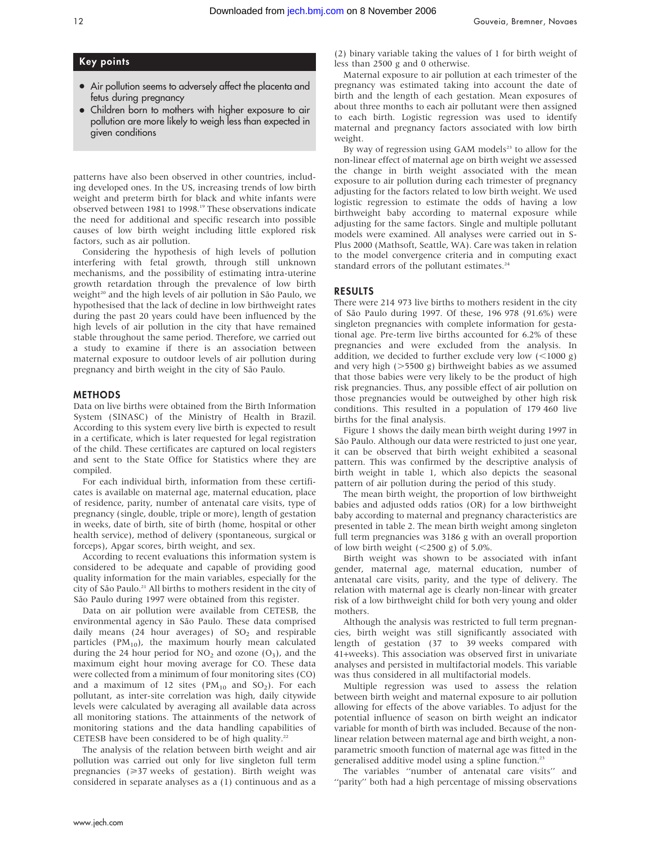## Key points

- Air pollution seems to adversely affect the placenta and fetus during pregnancy
- Children born to mothers with higher exposure to air pollution are more likely to weigh less than expected in given conditions

patterns have also been observed in other countries, including developed ones. In the US, increasing trends of low birth weight and preterm birth for black and white infants were observed between 1981 to 1998.<sup>19</sup> These observations indicate the need for additional and specific research into possible causes of low birth weight including little explored risk factors, such as air pollution.

Considering the hypothesis of high levels of pollution interfering with fetal growth, through still unknown mechanisms, and the possibility of estimating intra-uterine growth retardation through the prevalence of low birth weight<sup>20</sup> and the high levels of air pollution in São Paulo, we hypothesised that the lack of decline in low birthweight rates during the past 20 years could have been influenced by the high levels of air pollution in the city that have remained stable throughout the same period. Therefore, we carried out a study to examine if there is an association between maternal exposure to outdoor levels of air pollution during pregnancy and birth weight in the city of São Paulo.

## METHODS

Data on live births were obtained from the Birth Information System (SINASC) of the Ministry of Health in Brazil. According to this system every live birth is expected to result in a certificate, which is later requested for legal registration of the child. These certificates are captured on local registers and sent to the State Office for Statistics where they are compiled.

For each individual birth, information from these certificates is available on maternal age, maternal education, place of residence, parity, number of antenatal care visits, type of pregnancy (single, double, triple or more), length of gestation in weeks, date of birth, site of birth (home, hospital or other health service), method of delivery (spontaneous, surgical or forceps), Apgar scores, birth weight, and sex.

According to recent evaluations this information system is considered to be adequate and capable of providing good quality information for the main variables, especially for the city of São Paulo.<sup>21</sup> All births to mothers resident in the city of São Paulo during 1997 were obtained from this register.

Data on air pollution were available from CETESB, the environmental agency in São Paulo. These data comprised daily means (24 hour averages) of  $SO<sub>2</sub>$  and respirable particles  $(PM_{10})$ , the maximum hourly mean calculated during the 24 hour period for  $NO<sub>2</sub>$  and ozone  $(O<sub>3</sub>)$ , and the maximum eight hour moving average for CO. These data were collected from a minimum of four monitoring sites (CO) and a maximum of 12 sites ( $PM_{10}$  and  $SO_2$ ). For each pollutant, as inter-site correlation was high, daily citywide levels were calculated by averaging all available data across all monitoring stations. The attainments of the network of monitoring stations and the data handling capabilities of CETESB have been considered to be of high quality.<sup>22</sup>

The analysis of the relation between birth weight and air pollution was carried out only for live singleton full term pregnancies  $(\geq 37$  weeks of gestation). Birth weight was considered in separate analyses as a (1) continuous and as a (2) binary variable taking the values of 1 for birth weight of less than 2500 g and 0 otherwise.

Maternal exposure to air pollution at each trimester of the pregnancy was estimated taking into account the date of birth and the length of each gestation. Mean exposures of about three months to each air pollutant were then assigned to each birth. Logistic regression was used to identify maternal and pregnancy factors associated with low birth weight.

By way of regression using  $GAM$  models<sup>23</sup> to allow for the non-linear effect of maternal age on birth weight we assessed the change in birth weight associated with the mean exposure to air pollution during each trimester of pregnancy adjusting for the factors related to low birth weight. We used logistic regression to estimate the odds of having a low birthweight baby according to maternal exposure while adjusting for the same factors. Single and multiple pollutant models were examined. All analyses were carried out in S-Plus 2000 (Mathsoft, Seattle, WA). Care was taken in relation to the model convergence criteria and in computing exact standard errors of the pollutant estimates.<sup>24</sup>

## RESULTS

There were 214 973 live births to mothers resident in the city of São Paulo during 1997. Of these, 196 978 (91.6%) were singleton pregnancies with complete information for gestational age. Pre-term live births accounted for 6.2% of these pregnancies and were excluded from the analysis. In addition, we decided to further exclude very low  $(<1000 g$ ) and very high  $(>5500 \text{ g})$  birthweight babies as we assumed that those babies were very likely to be the product of high risk pregnancies. Thus, any possible effect of air pollution on those pregnancies would be outweighed by other high risk conditions. This resulted in a population of 179 460 live births for the final analysis.

Figure 1 shows the daily mean birth weight during 1997 in São Paulo. Although our data were restricted to just one year, it can be observed that birth weight exhibited a seasonal pattern. This was confirmed by the descriptive analysis of birth weight in table 1, which also depicts the seasonal pattern of air pollution during the period of this study.

The mean birth weight, the proportion of low birthweight babies and adjusted odds ratios (OR) for a low birthweight baby according to maternal and pregnancy characteristics are presented in table 2. The mean birth weight among singleton full term pregnancies was 3186 g with an overall proportion of low birth weight  $(<2500 \text{ g})$  of 5.0%.

Birth weight was shown to be associated with infant gender, maternal age, maternal education, number of antenatal care visits, parity, and the type of delivery. The relation with maternal age is clearly non-linear with greater risk of a low birthweight child for both very young and older mothers.

Although the analysis was restricted to full term pregnancies, birth weight was still significantly associated with length of gestation (37 to 39 weeks compared with 41+weeks). This association was observed first in univariate analyses and persisted in multifactorial models. This variable was thus considered in all multifactorial models.

Multiple regression was used to assess the relation between birth weight and maternal exposure to air pollution allowing for effects of the above variables. To adjust for the potential influence of season on birth weight an indicator variable for month of birth was included. Because of the nonlinear relation between maternal age and birth weight, a nonparametric smooth function of maternal age was fitted in the generalised additive model using a spline function.<sup>23</sup>

The variables ''number of antenatal care visits'' and "parity" both had a high percentage of missing observations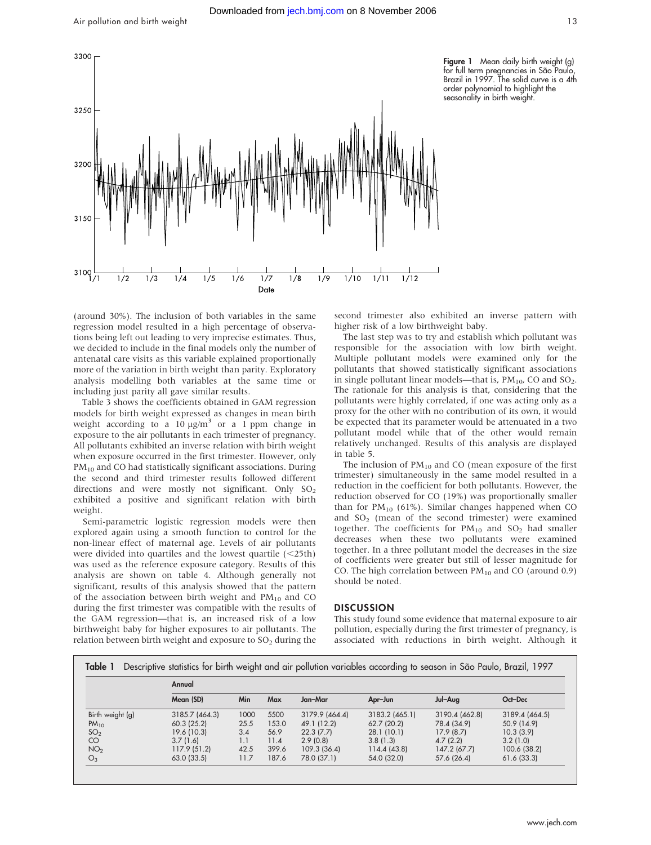

Figure 1 Mean daily birth weight (g) for full term pregnancies in São Paulo, Brazil in 1997. The solid curve is a 4th order polynomial to highlight the seasonality in birth weight.

(around 30%). The inclusion of both variables in the same regression model resulted in a high percentage of observations being left out leading to very imprecise estimates. Thus, we decided to include in the final models only the number of antenatal care visits as this variable explained proportionally more of the variation in birth weight than parity. Exploratory analysis modelling both variables at the same time or including just parity all gave similar results.

Table 3 shows the coefficients obtained in GAM regression models for birth weight expressed as changes in mean birth weight according to a  $10 \mu g/m^3$  or a 1 ppm change in exposure to the air pollutants in each trimester of pregnancy. All pollutants exhibited an inverse relation with birth weight when exposure occurred in the first trimester. However, only  $PM<sub>10</sub>$  and CO had statistically significant associations. During the second and third trimester results followed different directions and were mostly not significant. Only SO<sub>2</sub> exhibited a positive and significant relation with birth weight.

Semi-parametric logistic regression models were then explored again using a smooth function to control for the non-linear effect of maternal age. Levels of air pollutants were divided into quartiles and the lowest quartile  $\langle$  <25th) was used as the reference exposure category. Results of this analysis are shown on table 4. Although generally not significant, results of this analysis showed that the pattern of the association between birth weight and  $PM_{10}$  and CO during the first trimester was compatible with the results of the GAM regression—that is, an increased risk of a low birthweight baby for higher exposures to air pollutants. The relation between birth weight and exposure to  $SO<sub>2</sub>$  during the second trimester also exhibited an inverse pattern with higher risk of a low birthweight baby.

The last step was to try and establish which pollutant was responsible for the association with low birth weight. Multiple pollutant models were examined only for the pollutants that showed statistically significant associations in single pollutant linear models—that is,  $PM_{10}$ , CO and SO<sub>2</sub>. The rationale for this analysis is that, considering that the pollutants were highly correlated, if one was acting only as a proxy for the other with no contribution of its own, it would be expected that its parameter would be attenuated in a two pollutant model while that of the other would remain relatively unchanged. Results of this analysis are displayed in table 5.

The inclusion of  $PM_{10}$  and CO (mean exposure of the first trimester) simultaneously in the same model resulted in a reduction in the coefficient for both pollutants. However, the reduction observed for CO (19%) was proportionally smaller than for  $PM_{10}$  (61%). Similar changes happened when CO and  $SO<sub>2</sub>$  (mean of the second trimester) were examined together. The coefficients for  $PM_{10}$  and  $SO_2$  had smaller decreases when these two pollutants were examined together. In a three pollutant model the decreases in the size of coefficients were greater but still of lesser magnitude for CO. The high correlation between  $PM_{10}$  and CO (around 0.9) should be noted.

#### **DISCUSSION**

This study found some evidence that maternal exposure to air pollution, especially during the first trimester of pregnancy, is associated with reductions in birth weight. Although it

|                  | Annual          |      |       |                |                |                |                |  |  |  |
|------------------|-----------------|------|-------|----------------|----------------|----------------|----------------|--|--|--|
|                  | Mean (SD)       | Min  | Max   | Jan-Mar        | Apr-Jun        | Jul-Aug        | Oct-Dec        |  |  |  |
| Birth weight (g) | 3185.7 (464.3)  | 1000 | 5500  | 3179.9 (464.4) | 3183.2 (465.1) | 3190.4 (462.8) | 3189.4 (464.5) |  |  |  |
| $PM_{10}$        | 60.3(25.2)      | 25.5 | 153.0 | 49.1 (12.2)    | 62.7(20.2)     | 78.4 (34.9)    | 50.9 (14.9)    |  |  |  |
| SO <sub>2</sub>  | 19.6 (10.3)     | 3.4  | 56.9  | 22.3(7.7)      | 28.1(10.1)     | 17.9(8.7)      | 10.3(3.9)      |  |  |  |
| CO               | 3.7(1.6)        | 1.1  | 11.4  | 2.9(0.8)       | 3.8(1.3)       | 4.7(2.2)       | 3.2(1.0)       |  |  |  |
| NO <sub>2</sub>  | 117.9(51.2)     | 42.5 | 399.6 | 109.3(36.4)    | 114.4(43.8)    | 147.2(67.7)    | 100.6 (38.2)   |  |  |  |
| O <sub>3</sub>   | $63.0$ $(33.5)$ | 11.7 | 187.6 | 78.0 (37.1)    | 54.0 (32.0)    | 57.6 (26.4)    | 61.6(33.3)     |  |  |  |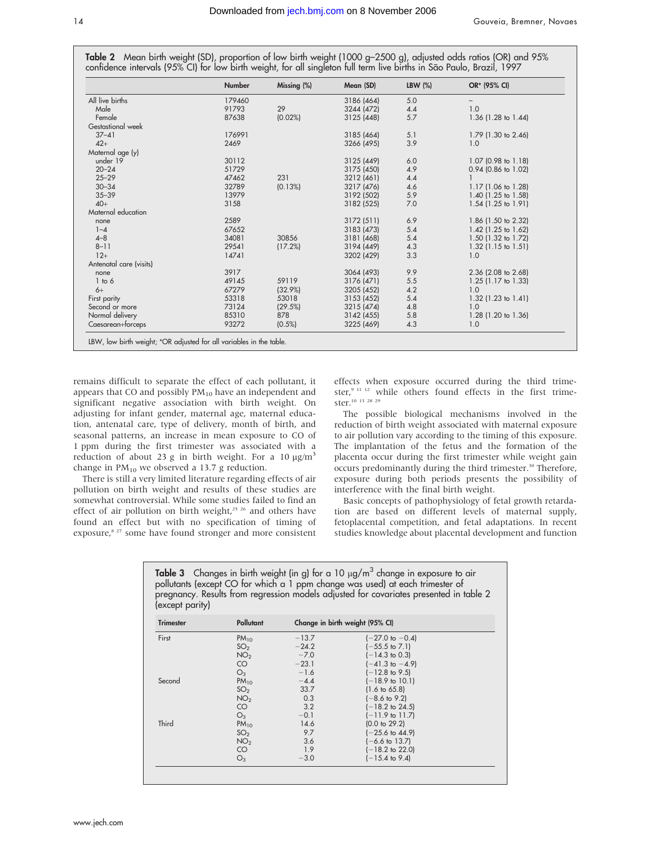Table 2 Mean birth weight (SD), proportion of low birth weight (1000 g–2500 g), adjusted odds ratios (OR) and 95% confidence intervals (95% CI) for low birth weight, for all singleton full term live births in São Paulo, Brazil, 1997

|                         | <b>Number</b> | Missing (%) | Mean (SD)  | LBW $(%)$ | OR* (95% CI)                   |
|-------------------------|---------------|-------------|------------|-----------|--------------------------------|
| All live births         | 179460        |             | 3186 (464) | 5.0       | $\overline{\phantom{0}}$       |
| Male                    | 91793         | 29          | 3244 (472) | 4.4       | 1.0                            |
| Female                  | 87638         | (0.02%)     | 3125 (448) | 5.7       | 1.36 $(1.28 \text{ to } 1.44)$ |
| Gestastional week       |               |             |            |           |                                |
| $37 - 41$               | 176991        |             | 3185 (464) | 5.1       | 1.79 (1.30 to 2.46)            |
| $42+$                   | 2469          |             | 3266 (495) | 3.9       | 1.0                            |
| Maternal age (y)        |               |             |            |           |                                |
| under 19                | 30112         |             | 3125 (449) | 6.0       | 1.07 (0.98 to 1.18)            |
| $20 - 24$               | 51729         |             | 3175 (450) | 4.9       | $0.94$ (0.86 to 1.02)          |
| $25 - 29$               | 47462         | 231         | 3212 (461) | 4.4       |                                |
| $30 - 34$               | 32789         | (0.13%)     | 3217 (476) | 4.6       | 1.17 (1.06 to 1.28)            |
| $35 - 39$               | 13979         |             | 3192 (502) | 5.9       | 1.40 $(1.25 \text{ to } 1.58)$ |
| $40+$                   | 3158          |             | 3182 (525) | 7.0       | $1.54$ (1.25 to 1.91)          |
| Maternal education      |               |             |            |           |                                |
| none                    | 2589          |             | 3172 (511) | 6.9       | 1.86 (1.50 to 2.32)            |
| $1 - 4$                 | 67652         |             | 3183 (473) | 5.4       | 1.42 (1.25 to 1.62)            |
| $4 - 8$                 | 34081         | 30856       | 3181 (468) | 5.4       | 1.50 $(1.32 \text{ to } 1.72)$ |
| $8 - 11$                | 29541         | (17.2%)     | 3194 (449) | 4.3       | $1.32$ (1.15 to 1.51)          |
| $12+$                   | 14741         |             | 3202 (429) | 3.3       | 1.0                            |
| Antenatal care (visits) |               |             |            |           |                                |
| none                    | 3917          |             | 3064 (493) | 9.9       | $2.36$ (2.08 to $2.68$ )       |
| $1$ to 6                | 49145         | 59119       | 3176 (471) | 5.5       | $1.25$ (1.17 to 1.33)          |
| $6+$                    | 67279         | (32.9%)     | 3205 (452) | 4.2       | 1.0                            |
| First parity            | 53318         | 53018       | 3153 (452) | 5.4       | $1.32$ (1.23 to 1.41)          |
| Second or more          | 73124         | (29.5%)     | 3215 (474) | 4.8       | 1.0                            |
| Normal delivery         | 85310         | 878         | 3142 (455) | 5.8       | 1.28 $(1.20 \text{ to } 1.36)$ |
| Caesarean+forceps       | 93272         | $(0.5\%)$   | 3225 (469) | 4.3       | 1.0                            |

remains difficult to separate the effect of each pollutant, it appears that CO and possibly  $PM_{10}$  have an independent and significant negative association with birth weight. On adjusting for infant gender, maternal age, maternal education, antenatal care, type of delivery, month of birth, and seasonal patterns, an increase in mean exposure to CO of 1 ppm during the first trimester was associated with a reduction of about 23 g in birth weight. For a 10  $\mu$ g/m<sup>3</sup> change in  $PM_{10}$  we observed a 13.7 g reduction.

There is still a very limited literature regarding effects of air pollution on birth weight and results of these studies are somewhat controversial. While some studies failed to find an effect of air pollution on birth weight,<sup>25 26</sup> and others have found an effect but with no specification of timing of exposure,<sup>8 27</sup> some have found stronger and more consistent effects when exposure occurred during the third trimester,<sup>9 11 12</sup> while others found effects in the first trimew<br>ster.<sup>10</sup> <sup>13</sup> <sup>28</sup> <sup>29</sup>

The possible biological mechanisms involved in the reduction of birth weight associated with maternal exposure to air pollution vary according to the timing of this exposure. The implantation of the fetus and the formation of the placenta occur during the first trimester while weight gain occurs predominantly during the third trimester.<sup>30</sup> Therefore, exposure during both periods presents the possibility of interference with the final birth weight.

Basic concepts of pathophysiology of fetal growth retardation are based on different levels of maternal supply, fetoplacental competition, and fetal adaptations. In recent studies knowledge about placental development and function

**Table 3** Changes in birth weight (in g) for a 10  $\mu$ g/m<sup>3</sup> change in exposure to air pollutants (except CO for which a 1 ppm change was used) at each trimester of pregnancy. Results from regression models adjusted for covariates presented in table 2 (except parity)

| <b>Trimester</b> | Pollutant       |         | Change in birth weight (95% CI) |  |  |  |
|------------------|-----------------|---------|---------------------------------|--|--|--|
| First            | $PM_{10}$       | $-13.7$ | $(-27.0 \text{ to } -0.4)$      |  |  |  |
|                  | SO <sub>2</sub> | $-24.2$ | $(-55.5 \text{ to } 7.1)$       |  |  |  |
|                  | NO <sub>2</sub> | $-7.0$  | $(-14.3 \text{ to } 0.3)$       |  |  |  |
|                  | CO <sub>1</sub> | $-23.1$ | $(-41.3 \text{ to } -4.9)$      |  |  |  |
|                  | $O_3$           | $-1.6$  | $(-12.8 \text{ to } 9.5)$       |  |  |  |
| Second           | $PM_{10}$       | $-4.4$  | $(-18.9 \text{ to } 10.1)$      |  |  |  |
|                  | SO <sub>2</sub> | 33.7    | $(1.6 \text{ to } 65.8)$        |  |  |  |
|                  | NO <sub>2</sub> | 0.3     | $(-8.6 \text{ to } 9.2)$        |  |  |  |
|                  | <b>CO</b>       | 3.2     | $(-18.2 \text{ to } 24.5)$      |  |  |  |
|                  | $O_3$           | $-0.1$  | $(-11.9 \text{ to } 11.7)$      |  |  |  |
| Third            | $PM_{10}$       | 14.6    | $(0.0 \text{ to } 29.2)$        |  |  |  |
|                  | SO <sub>2</sub> | 9.7     | $(-25.6 \text{ to } 44.9)$      |  |  |  |
|                  | NO <sub>2</sub> | 3.6     | $(-6.6 \text{ to } 13.7)$       |  |  |  |
|                  | <b>CO</b>       | 1.9     | $(-18.2 \text{ to } 22.0)$      |  |  |  |
|                  | $O_3$           | $-3.0$  | $(-15.4 \text{ to } 9.4)$       |  |  |  |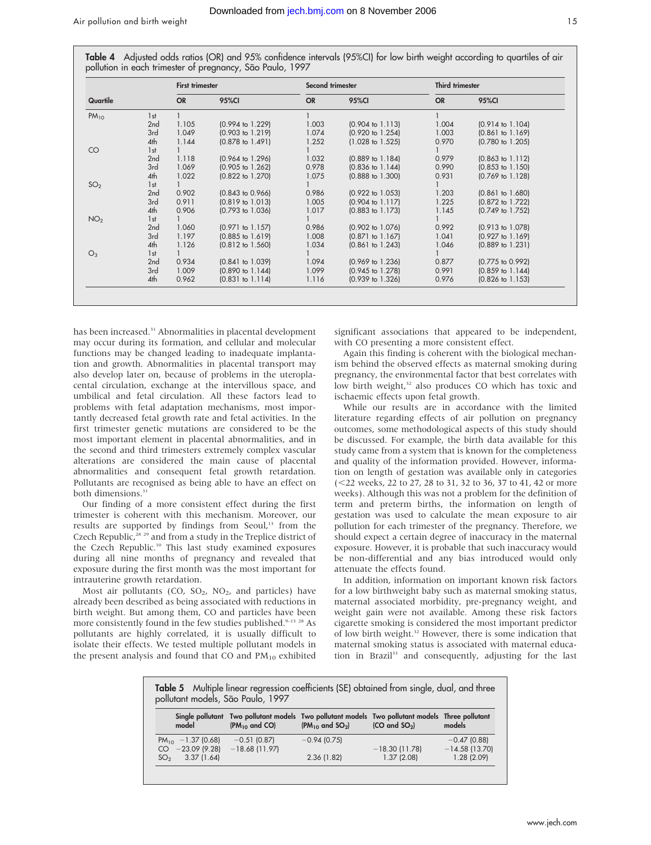|                 |                 | <b>First trimester</b> |                             |           | Second trimester            |           | Third trimester             |  |
|-----------------|-----------------|------------------------|-----------------------------|-----------|-----------------------------|-----------|-----------------------------|--|
| Quartile        |                 | <b>OR</b>              | 95%CI                       | <b>OR</b> | 95%CI                       | <b>OR</b> | 95%CI                       |  |
| $PM_{10}$       | 1st             |                        |                             |           |                             |           |                             |  |
|                 | 2 <sub>nd</sub> | 1.105                  | $(0.994 \text{ to } 1.229)$ | 1.003     | $(0.904 \text{ to } 1.113)$ | 1.004     | $(0.914 \text{ to } 1.104)$ |  |
|                 | 3rd             | 1.049                  | $(0.903 \text{ to } 1.219)$ | 1.074     | $(0.920 \text{ to } 1.254)$ | 1.003     | $(0.861$ to $1.169)$        |  |
|                 | 4 <sup>th</sup> | 1.144                  | $(0.878 \text{ to } 1.491)$ | 1.252     | $(1.028 \text{ to } 1.525)$ | 0.970     | $(0.780 \text{ to } 1.205)$ |  |
| CO              | 1st             |                        |                             |           |                             |           |                             |  |
|                 | 2 <sub>nd</sub> | 1.118                  | $(0.964 \text{ to } 1.296)$ | 1.032     | $(0.889 \text{ to } 1.184)$ | 0.979     | $(0.863 \text{ to } 1.112)$ |  |
|                 | 3rd             | 1.069                  | $(0.905 \text{ to } 1.262)$ | 0.978     | $(0.836 \text{ to } 1.144)$ | 0.990     | $(0.853$ to $1.150)$        |  |
|                 | 4th             | 1.022                  | $(0.822$ to $1.270)$        | 1.075     | $(0.888$ to $1.300$ )       | 0.931     | $(0.769 \text{ to } 1.128)$ |  |
| SO <sub>2</sub> | 1st             |                        |                             |           |                             |           |                             |  |
|                 | 2 <sub>nd</sub> | 0.902                  | $(0.843)$ to $0.966$        | 0.986     | $(0.922 \text{ to } 1.053)$ | 1.203     | $(0.861$ to $1.680)$        |  |
|                 | 3rd             | 0.911                  | $(0.819 \text{ to } 1.013)$ | 1.005     | $(0.904 \text{ to } 1.117)$ | 1.225     | $(0.872 \text{ to } 1.722)$ |  |
|                 | 4th             | 0.906                  | $(0.793 \text{ to } 1.036)$ | 1.017     | $(0.883$ to $1.173)$        | 1.145     | $(0.749 \text{ to } 1.752)$ |  |
| NO <sub>2</sub> | 1st             |                        |                             |           |                             |           |                             |  |
|                 | 2nd             | 1.060                  | $(0.971$ to $1.157)$        | 0.986     | $(0.902 \text{ to } 1.076)$ | 0.992     | $(0.913 \text{ to } 1.078)$ |  |
|                 | 3rd             | 1.197                  | $(0.885 \text{ to } 1.619)$ | 1.008     | $(0.871$ to $1.167)$        | 1.041     | $(0.927 \text{ to } 1.169)$ |  |
|                 | 4th             | 1.126                  | $(0.812 \text{ to } 1.560)$ | 1.034     | $(0.861$ to $1.243)$        | 1.046     | $(0.889$ to $1.231)$        |  |
| $O_3$           | 1st             |                        |                             |           |                             |           |                             |  |
|                 | 2 <sub>nd</sub> | 0.934                  | $(0.841$ to $1.039$         | 1.094     | $(0.969 \text{ to } 1.236)$ | 0.877     | $(0.775 \text{ to } 0.992)$ |  |
|                 | 3rd             | 1.009                  | $(0.890 \text{ to } 1.144)$ | 1.099     | $(0.945 \text{ to } 1.278)$ | 0.991     | $(0.859 \text{ to } 1.144)$ |  |
|                 | 4th             | 0.962                  | $(0.831$ to $1.114)$        | 1.116     | $(0.939$ to $1.326)$        | 0.976     | $(0.826 \text{ to } 1.153)$ |  |

has been increased.<sup>31</sup> Abnormalities in placental development may occur during its formation, and cellular and molecular functions may be changed leading to inadequate implantation and growth. Abnormalities in placental transport may also develop later on, because of problems in the uteroplacental circulation, exchange at the intervillous space, and umbilical and fetal circulation. All these factors lead to problems with fetal adaptation mechanisms, most importantly decreased fetal growth rate and fetal activities. In the first trimester genetic mutations are considered to be the most important element in placental abnormalities, and in the second and third trimesters extremely complex vascular alterations are considered the main cause of placental abnormalities and consequent fetal growth retardation. Pollutants are recognised as being able to have an effect on both dimensions.<sup>31</sup>

Our finding of a more consistent effect during the first trimester is coherent with this mechanism. Moreover, our results are supported by findings from Seoul,<sup>13</sup> from the Czech Republic, $28$   $29$  and from a study in the Treplice district of the Czech Republic.10 This last study examined exposures during all nine months of pregnancy and revealed that exposure during the first month was the most important for intrauterine growth retardation.

Most air pollutants (CO,  $SO_2$ ,  $NO_2$ , and particles) have already been described as being associated with reductions in birth weight. But among them, CO and particles have been more consistently found in the few studies published.<sup>9-13</sup> <sup>28</sup> As pollutants are highly correlated, it is usually difficult to isolate their effects. We tested multiple pollutant models in the present analysis and found that CO and  $PM_{10}$  exhibited significant associations that appeared to be independent, with CO presenting a more consistent effect.

Again this finding is coherent with the biological mechanism behind the observed effects as maternal smoking during pregnancy, the environmental factor that best correlates with low birth weight,<sup>32</sup> also produces CO which has toxic and ischaemic effects upon fetal growth.

While our results are in accordance with the limited literature regarding effects of air pollution on pregnancy outcomes, some methodological aspects of this study should be discussed. For example, the birth data available for this study came from a system that is known for the completeness and quality of the information provided. However, information on length of gestation was available only in categories (<22 weeks, 22 to 27, 28 to 31, 32 to 36, 37 to 41, 42 or more weeks). Although this was not a problem for the definition of term and preterm births, the information on length of gestation was used to calculate the mean exposure to air pollution for each trimester of the pregnancy. Therefore, we should expect a certain degree of inaccuracy in the maternal exposure. However, it is probable that such inaccuracy would be non-differential and any bias introduced would only attenuate the effects found.

In addition, information on important known risk factors for a low birthweight baby such as maternal smoking status, maternal associated morbidity, pre-pregnancy weight, and weight gain were not available. Among these risk factors cigarette smoking is considered the most important predictor of low birth weight.<sup>32</sup> However, there is some indication that maternal smoking status is associated with maternal education in Brazil<sup>33</sup> and consequently, adjusting for the last

Table 5 Multiple linear regression coefficients (SE) obtained from single, dual, and three pollutant models, São Paulo, 1997

| $-0.94$ (0.75)<br>$PM_{10}$ -1.37 (0.68)<br>$-0.51$ (0.87)<br>$CO -23.09$ (9.28)<br>$-18.68(11.97)$<br>$-18.30(11.78)$ | model                         | Single pollutant Two pollutant models Two pollutant models Two pollutant models Three pollutant<br>$(PM_{10}$ and CO) | $(PM_{10}$ and SO <sub>2</sub> ) | $(CO \text{ and } SO2)$ | models          |
|------------------------------------------------------------------------------------------------------------------------|-------------------------------|-----------------------------------------------------------------------------------------------------------------------|----------------------------------|-------------------------|-----------------|
|                                                                                                                        |                               |                                                                                                                       |                                  |                         | $-0.47$ (0.88)  |
|                                                                                                                        |                               |                                                                                                                       |                                  |                         | $-14.58(13.70)$ |
|                                                                                                                        | 3.37(1.64)<br>SO <sub>2</sub> |                                                                                                                       | 2.36(1.82)                       | 1.37(2.08)              | 1.28 (2.09)     |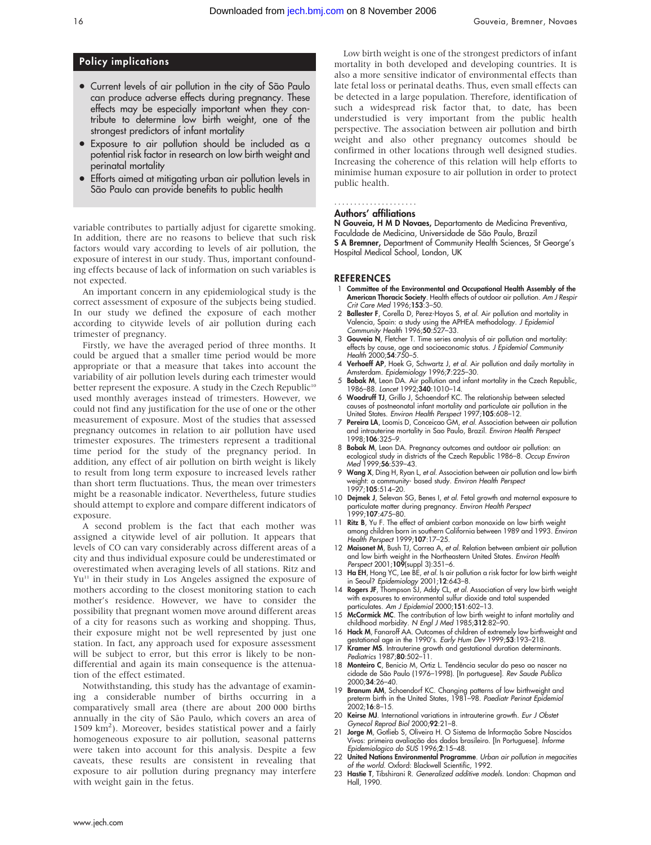## Policy implications

- Current levels of air pollution in the city of São Paulo can produce adverse effects during pregnancy. These effects may be especially important when they contribute to determine low birth weight, one of the strongest predictors of infant mortality
- N Exposure to air pollution should be included as a potential risk factor in research on low birth weight and perinatal mortality
- Efforts aimed at mitigating urban air pollution levels in São Paulo can provide benefits to public health

variable contributes to partially adjust for cigarette smoking. In addition, there are no reasons to believe that such risk factors would vary according to levels of air pollution, the exposure of interest in our study. Thus, important confounding effects because of lack of information on such variables is not expected.

An important concern in any epidemiological study is the correct assessment of exposure of the subjects being studied. In our study we defined the exposure of each mother according to citywide levels of air pollution during each trimester of pregnancy.

Firstly, we have the averaged period of three months. It could be argued that a smaller time period would be more appropriate or that a measure that takes into account the variability of air pollution levels during each trimester would better represent the exposure. A study in the Czech Republic<sup>10</sup> used monthly averages instead of trimesters. However, we could not find any justification for the use of one or the other measurement of exposure. Most of the studies that assessed pregnancy outcomes in relation to air pollution have used trimester exposures. The trimesters represent a traditional time period for the study of the pregnancy period. In addition, any effect of air pollution on birth weight is likely to result from long term exposure to increased levels rather than short term fluctuations. Thus, the mean over trimesters might be a reasonable indicator. Nevertheless, future studies should attempt to explore and compare different indicators of exposure.

A second problem is the fact that each mother was assigned a citywide level of air pollution. It appears that levels of CO can vary considerably across different areas of a city and thus individual exposure could be underestimated or overestimated when averaging levels of all stations. Ritz and Yu<sup>11</sup> in their study in Los Angeles assigned the exposure of mothers according to the closest monitoring station to each mother's residence. However, we have to consider the possibility that pregnant women move around different areas of a city for reasons such as working and shopping. Thus, their exposure might not be well represented by just one station. In fact, any approach used for exposure assessment will be subject to error, but this error is likely to be nondifferential and again its main consequence is the attenuation of the effect estimated.

Notwithstanding, this study has the advantage of examining a considerable number of births occurring in a comparatively small area (there are about 200 000 births annually in the city of São Paulo, which covers an area of 1509 km<sup>2</sup>). Moreover, besides statistical power and a fairly homogeneous exposure to air pollution, seasonal patterns were taken into account for this analysis. Despite a few caveats, these results are consistent in revealing that exposure to air pollution during pregnancy may interfere with weight gain in the fetus.

Low birth weight is one of the strongest predictors of infant mortality in both developed and developing countries. It is also a more sensitive indicator of environmental effects than late fetal loss or perinatal deaths. Thus, even small effects can be detected in a large population. Therefore, identification of such a widespread risk factor that, to date, has been understudied is very important from the public health perspective. The association between air pollution and birth weight and also other pregnancy outcomes should be confirmed in other locations through well designed studies. Increasing the coherence of this relation will help efforts to minimise human exposure to air pollution in order to protect public health.

## .....................

## Authors' affiliations

N Gouveia, H M D Novaes, Departamento de Medicina Preventiva, Faculdade de Medicina, Universidade de São Paulo, Brazil S A Bremner, Department of Community Health Sciences, St George's Hospital Medical School, London, UK

### **REFERENCES**

- 1 Committee of the Environmental and Occupational Health Assembly of the American Thoracic Society. Health effects of outdoor air pollution. Am J Respir Crit Care Med 1996;153:3–50.
- 2 Ballester F, Corella D, Perez-Hoyos S, et al. Air pollution and mortality in Valencia, Spain: a study using the APHEA methodology. *J Epidemio.*<br>Community Health 1996;**50**:527–33.
- 3 Gouveia N, Fletcher T. Time series analysis of air pollution and mortality: effects by cause, age and socioeconomic status. J Epidemiol Community Health 2000;54:750–5.
- 4 Verhoeff AP, Hoek G, Schwartz J, et al. Air pollution and daily mortality in Amsterdam. Epidemiology 1996;7:225–30.
- 5 Bobak M, Leon DA. Air pollution and infant mortality in the Czech Republic, 1986–88. Lancet 1992;340:1010–14.
- 6 Woodruff TJ, Grillo J, Schoendorf KC. The relationship between selected causes of postneonatal infant mortality and particulate air pollution in the United States. Environ Health Perspect 1997;105:608–12.
- 7 Pereira LA, Loomis D, Conceicao GM, et al. Association between air pollution and intrauterine mortality in Sao Paulo, Brazil. Environ Health Perspect 1998;106:325–9.
- 8 Bobak M, Leon DA. Pregnancy outcomes and outdoor air pollution: an ecological study in districts of the Czech Republic 1986–8. Occup Environ Med 1999;56:539-43.
- 9 Wang X, Ding H, Ryan L, et al. Association between air pollution and low birth weight: a community- based study. Environ Health Perspect 1997;105:514–20.
- 10 Dejmek J, Selevan SG, Benes I, et al. Fetal growth and maternal exposure to particulate matter during pregnancy. Environ Health Perspect 1999;**107**:475–80.
- 11 Ritz B, Yu F. The effect of ambient carbon monoxide on low birth weight among children born in southern California between 1989 and 1993. Environ Health Perspect 1999;107:17–25.
- 12 Maisonet M, Bush TJ, Correa A, et al. Relation between ambient air pollution and low birth weight in the Northeastern United States. *Environ Health*<br>*Perspect* 2001;**109**(suppl 3):351–6.
- 13 Ha EH, Hong YC, Lee BE, et al. Is air pollution a risk factor for low birth weight in Seoul? Epidemiology 2001;12:643–8.
- 14 Rogers JF, Thompson SJ, Addy CL, et al. Association of very low birth weight with exposures to environmental sulfur dioxide and total suspended particulates. Am J Epidemiol 2000;151:602-13.
- 15 McCormick MC. The contribution of low birth weight to infant mortality and childhood morbidity. N Engl J Med 1985;312:82–90.
- 16 Hack M, Fanaroff AA. Outcomes of children of extremely low birthweight and gestational age in the 1990's. Early Hum Dev 1999;53:193–218.
- 17 Kramer MS. Intrauterine growth and gestational duration determinants. Pediatrics 1987;80:502–11.
- 18 Monteiro C, Benicio M, Ortiz L. Tendência secular do peso ao nascer na cidade de Sa˜o Paulo (1976–1998). [In portuguese]. Rev Saude Publica 2000;34:26–40.
- 19 Branum AM, Schoendorf KC. Changing patterns of low birthweight and preterm birth in the United States, 1981–98. Paediatr Perinat Epidemiol 2002;16:8–15.
- 20 Keirse MJ. International variations in intrauterine growth. Eur J Obstet Gynecol Reprod Biol 2000;92:21–8.
- 21 Jorge M, Gotlieb S, Oliveira H. O Sistema de Informação Sobre Nascidos Vivos: primeira avaliação dos dados brasileiro. [In Portuguese]. Informe Epidemiologico do SUS 1996;2:15–48.
- 22 United Nations Environmental Programme. Urban air pollution in megacities of the world. Oxford: Blackwell Scientific, 1992.
- 23 Hastie T, Tibshirani R. Generalized additive models. London: Chapman and Hall, 1990.